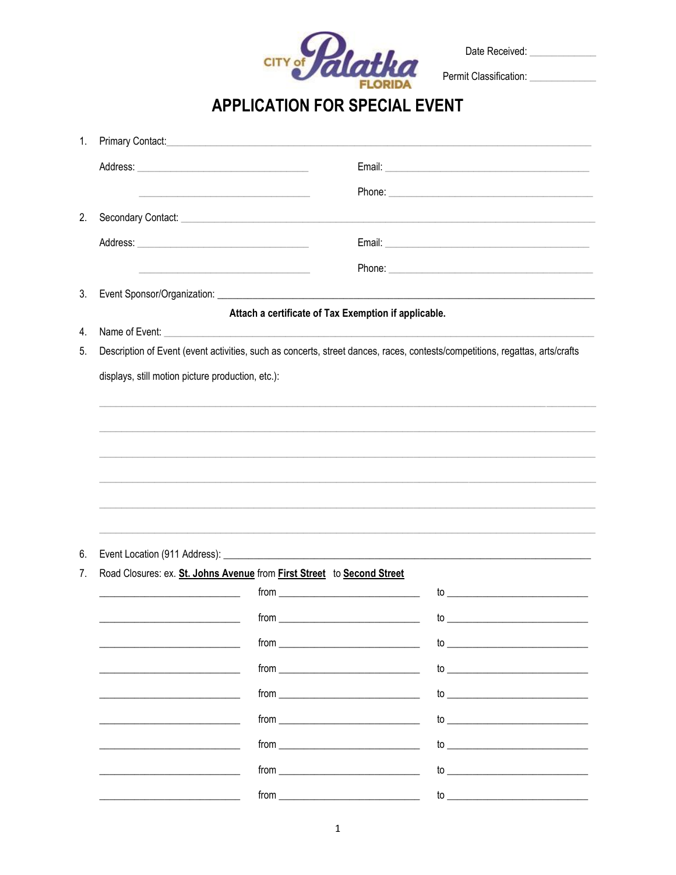

Date Received: \_\_\_\_\_\_\_\_\_\_\_\_\_\_

**APPLICATION FOR SPECIAL EVENT** 

| 1. |                                                                                                                              |                                                      |                                                                                                                                                                                                                                                                                 |  |  |
|----|------------------------------------------------------------------------------------------------------------------------------|------------------------------------------------------|---------------------------------------------------------------------------------------------------------------------------------------------------------------------------------------------------------------------------------------------------------------------------------|--|--|
|    |                                                                                                                              |                                                      |                                                                                                                                                                                                                                                                                 |  |  |
|    | <u> 1989 - Andrea Stadt Britain, amerikansk politiker (</u>                                                                  |                                                      |                                                                                                                                                                                                                                                                                 |  |  |
| 2. |                                                                                                                              |                                                      |                                                                                                                                                                                                                                                                                 |  |  |
|    |                                                                                                                              |                                                      |                                                                                                                                                                                                                                                                                 |  |  |
|    | <u> 1989 - Johann John Stein, markin fan it ferskearre fan it ferskearre fan it ferskearre fan it ferskearre fan</u>         |                                                      |                                                                                                                                                                                                                                                                                 |  |  |
| 3. |                                                                                                                              |                                                      |                                                                                                                                                                                                                                                                                 |  |  |
|    |                                                                                                                              | Attach a certificate of Tax Exemption if applicable. |                                                                                                                                                                                                                                                                                 |  |  |
| 4. |                                                                                                                              |                                                      |                                                                                                                                                                                                                                                                                 |  |  |
| 5. | Description of Event (event activities, such as concerts, street dances, races, contests/competitions, regattas, arts/crafts |                                                      |                                                                                                                                                                                                                                                                                 |  |  |
|    | displays, still motion picture production, etc.):                                                                            |                                                      |                                                                                                                                                                                                                                                                                 |  |  |
|    |                                                                                                                              |                                                      |                                                                                                                                                                                                                                                                                 |  |  |
|    |                                                                                                                              |                                                      |                                                                                                                                                                                                                                                                                 |  |  |
|    |                                                                                                                              |                                                      |                                                                                                                                                                                                                                                                                 |  |  |
|    |                                                                                                                              |                                                      |                                                                                                                                                                                                                                                                                 |  |  |
|    |                                                                                                                              |                                                      |                                                                                                                                                                                                                                                                                 |  |  |
|    |                                                                                                                              |                                                      |                                                                                                                                                                                                                                                                                 |  |  |
| 6. |                                                                                                                              |                                                      |                                                                                                                                                                                                                                                                                 |  |  |
| 7. | Road Closures: ex. St. Johns Avenue from First Street to Second Street                                                       |                                                      |                                                                                                                                                                                                                                                                                 |  |  |
|    |                                                                                                                              |                                                      |                                                                                                                                                                                                                                                                                 |  |  |
|    |                                                                                                                              | $from _______$                                       |                                                                                                                                                                                                                                                                                 |  |  |
|    |                                                                                                                              | $from _______$                                       |                                                                                                                                                                                                                                                                                 |  |  |
|    |                                                                                                                              |                                                      |                                                                                                                                                                                                                                                                                 |  |  |
|    |                                                                                                                              | $from$ $\qquad$                                      |                                                                                                                                                                                                                                                                                 |  |  |
|    |                                                                                                                              |                                                      |                                                                                                                                                                                                                                                                                 |  |  |
|    |                                                                                                                              |                                                      | to $\overline{\phantom{a}}$                                                                                                                                                                                                                                                     |  |  |
|    |                                                                                                                              | $from$ $\qquad \qquad$                               | $\mathsf{to}$ . The contract of the contract of $\mathsf{to}$ . The contract of $\mathsf{to}$ is a set of $\mathsf{to}$ is a set of $\mathsf{to}$ is a set of $\mathsf{to}$ is a set of $\mathsf{to}$ is a set of $\mathsf{to}$ is a set of $\mathsf{to}$ is a set of $\mathsf$ |  |  |
|    |                                                                                                                              | $from _______$                                       | to $\overline{\phantom{a}}$                                                                                                                                                                                                                                                     |  |  |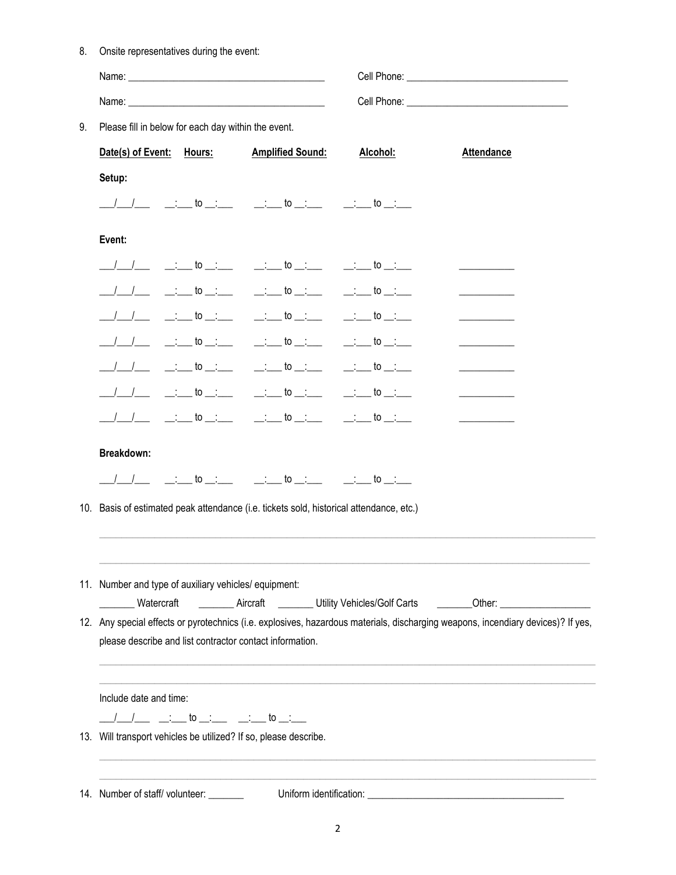| 8.<br>Onsite representatives during the event: |  |
|------------------------------------------------|--|
|------------------------------------------------|--|

| 9. | Please fill in below for each day within the event.                                     |  |                                                                           |                 |                                                                                                                                                                                                                                         |  |
|----|-----------------------------------------------------------------------------------------|--|---------------------------------------------------------------------------|-----------------|-----------------------------------------------------------------------------------------------------------------------------------------------------------------------------------------------------------------------------------------|--|
|    |                                                                                         |  | Date(s) of Event: Hours: Amplified Sound:                                 | <u>Alcohol:</u> | <b>Attendance</b>                                                                                                                                                                                                                       |  |
|    | Setup:                                                                                  |  |                                                                           |                 |                                                                                                                                                                                                                                         |  |
|    |                                                                                         |  | ___/___/____ ______to __;___  __;___ to __;___  __;___ to __;___          |                 |                                                                                                                                                                                                                                         |  |
|    | Event:                                                                                  |  |                                                                           |                 |                                                                                                                                                                                                                                         |  |
|    |                                                                                         |  | ____/____/ _________ to __________ to ________ to _______ to ______       |                 |                                                                                                                                                                                                                                         |  |
|    |                                                                                         |  | ___/____/ __________ to ___;_____ to __;____  __;___ to __;___            |                 |                                                                                                                                                                                                                                         |  |
|    |                                                                                         |  | __/___/_____ to __;_____ ___;___ to __;____ to __;___ to __;___           |                 |                                                                                                                                                                                                                                         |  |
|    |                                                                                         |  | ___/___/ ___ _____ to __:___  __:___ to __:___  __:___ to __:___          |                 |                                                                                                                                                                                                                                         |  |
|    |                                                                                         |  | ___/___/________to__:___________to__:_______to__:___to__:___              |                 |                                                                                                                                                                                                                                         |  |
|    |                                                                                         |  | ____/____/ __________to __:______ _______to __:_____ to __:____ to __:___ |                 | <u>experience</u> and the state of the                                                                                                                                                                                                  |  |
|    |                                                                                         |  | ____/ ___/ ___________to __;_____ to __;____ to __;____ to __;___         |                 |                                                                                                                                                                                                                                         |  |
|    | Breakdown:                                                                              |  | ___/___/______ to __:_______ ___:___ to __:______ to __:____ to __:___    |                 |                                                                                                                                                                                                                                         |  |
|    | 10. Basis of estimated peak attendance (i.e. tickets sold, historical attendance, etc.) |  |                                                                           |                 |                                                                                                                                                                                                                                         |  |
|    | 11. Number and type of auxiliary vehicles/ equipment:<br>Watercraft                     |  |                                                                           |                 | __________ Aircraft ___________ Utility Vehicles/Golf Carts _________Other: _______________________<br>12. Any special effects or pyrotechnics (i.e. explosives, hazardous materials, discharging weapons, incendiary devices)? If yes, |  |
|    |                                                                                         |  | please describe and list contractor contact information.                  |                 |                                                                                                                                                                                                                                         |  |
|    |                                                                                         |  |                                                                           |                 |                                                                                                                                                                                                                                         |  |
|    | Include date and time:                                                                  |  |                                                                           |                 |                                                                                                                                                                                                                                         |  |
|    |                                                                                         |  | 13. Will transport vehicles be utilized? If so, please describe.          |                 |                                                                                                                                                                                                                                         |  |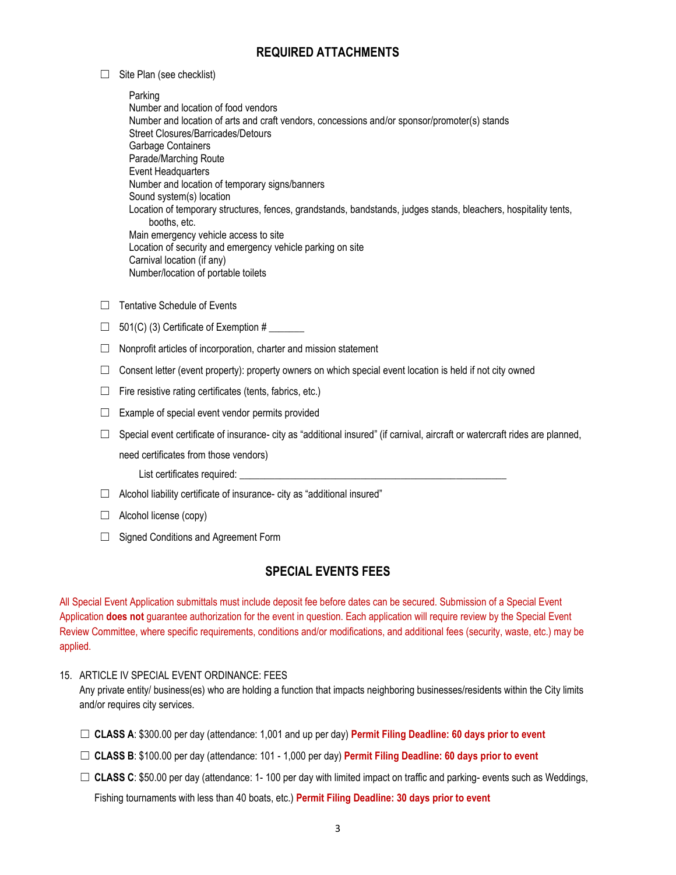### **REQUIRED ATTACHMENTS**

 $\Box$  Site Plan (see checklist)

Parking Number and location of food vendors Number and location of arts and craft vendors, concessions and/or sponsor/promoter(s) stands Street Closures/Barricades/Detours Garbage Containers Parade/Marching Route Event Headquarters Number and location of temporary signs/banners Sound system(s) location Location of temporary structures, fences, grandstands, bandstands, judges stands, bleachers, hospitality tents, booths, etc. Main emergency vehicle access to site Location of security and emergency vehicle parking on site Carnival location (if any) Number/location of portable toilets

- ☐ Tentative Schedule of Events
- $\Box$  501(C) (3) Certificate of Exemption #
- $\Box$  Nonprofit articles of incorporation, charter and mission statement
- $\Box$  Consent letter (event property): property owners on which special event location is held if not city owned
- $\Box$  Fire resistive rating certificates (tents, fabrics, etc.)
- $\Box$  Example of special event vendor permits provided
- $\Box$  Special event certificate of insurance- city as "additional insured" (if carnival, aircraft or watercraft rides are planned,

need certificates from those vendors)

- List certificates required: \_
- $\Box$  Alcohol liability certificate of insurance- city as "additional insured"
- $\Box$  Alcohol license (copy)
- ☐ Signed Conditions and Agreement Form

### **SPECIAL EVENTS FEES**

All Special Event Application submittals must include deposit fee before dates can be secured. Submission of a Special Event Application **does not** guarantee authorization for the event in question. Each application will require review by the Special Event Review Committee, where specific requirements, conditions and/or modifications, and additional fees (security, waste, etc.) may be applied.

### 15. ARTICLE IV SPECIAL EVENT ORDINANCE: FEES

Any private entity/ business(es) who are holding a function that impacts neighboring businesses/residents within the City limits and/or requires city services.

- ☐ **CLASS A**: \$300.00 per day (attendance: 1,001 and up per day) **Permit Filing Deadline: 60 days prior to event**
- ☐ **CLASS B**: \$100.00 per day (attendance: 101 1,000 per day) **Permit Filing Deadline: 60 days prior to event**
- □ CLASS C: \$50.00 per day (attendance: 1-100 per day with limited impact on traffic and parking- events such as Weddings,

Fishing tournaments with less than 40 boats, etc.) **Permit Filing Deadline: 30 days prior to event**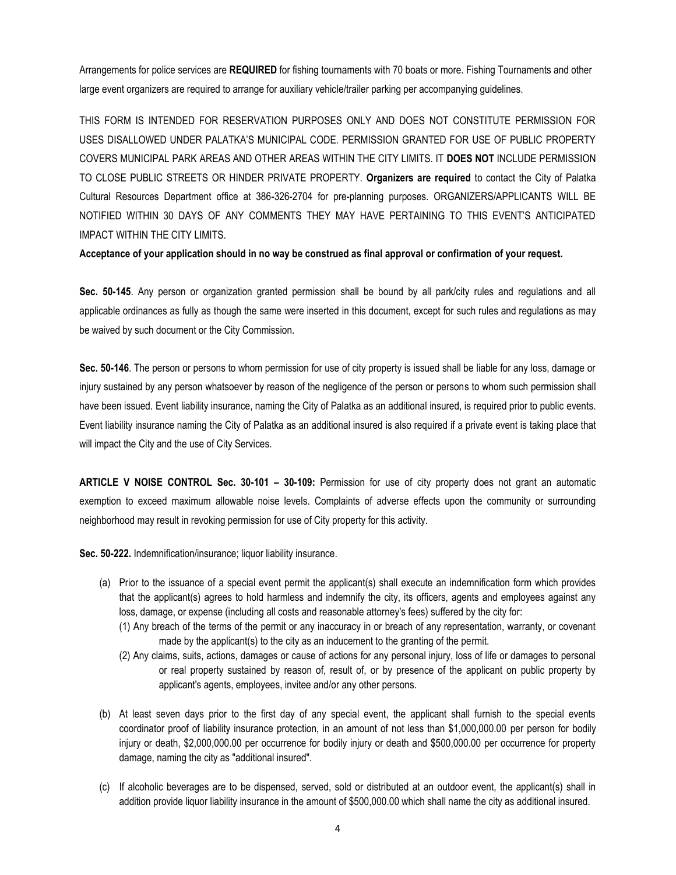Arrangements for police services are **REQUIRED** for fishing tournaments with 70 boats or more. Fishing Tournaments and other large event organizers are required to arrange for auxiliary vehicle/trailer parking per accompanying guidelines.

THIS FORM IS INTENDED FOR RESERVATION PURPOSES ONLY AND DOES NOT CONSTITUTE PERMISSION FOR USES DISALLOWED UNDER PALATKA'S MUNICIPAL CODE. PERMISSION GRANTED FOR USE OF PUBLIC PROPERTY COVERS MUNICIPAL PARK AREAS AND OTHER AREAS WITHIN THE CITY LIMITS. IT **DOES NOT** INCLUDE PERMISSION TO CLOSE PUBLIC STREETS OR HINDER PRIVATE PROPERTY. **Organizers are required** to contact the City of Palatka Cultural Resources Department office at 386-326-2704 for pre-planning purposes. ORGANIZERS/APPLICANTS WILL BE NOTIFIED WITHIN 30 DAYS OF ANY COMMENTS THEY MAY HAVE PERTAINING TO THIS EVENT'S ANTICIPATED IMPACT WITHIN THE CITY LIMITS.

**Acceptance of your application should in no way be construed as final approval or confirmation of your request.** 

**Sec. 50-145**. Any person or organization granted permission shall be bound by all park/city rules and regulations and all applicable ordinances as fully as though the same were inserted in this document, except for such rules and regulations as may be waived by such document or the City Commission.

**Sec. 50-146**. The person or persons to whom permission for use of city property is issued shall be liable for any loss, damage or injury sustained by any person whatsoever by reason of the negligence of the person or persons to whom such permission shall have been issued. Event liability insurance, naming the City of Palatka as an additional insured, is required prior to public events. Event liability insurance naming the City of Palatka as an additional insured is also required if a private event is taking place that will impact the City and the use of City Services.

**ARTICLE V NOISE CONTROL Sec. 30-101 – 30-109:** Permission for use of city property does not grant an automatic exemption to exceed maximum allowable noise levels. Complaints of adverse effects upon the community or surrounding neighborhood may result in revoking permission for use of City property for this activity.

**Sec. 50-222.** Indemnification/insurance; liquor liability insurance.

- (a) Prior to the issuance of a special event permit the applicant(s) shall execute an indemnification form which provides that the applicant(s) agrees to hold harmless and indemnify the city, its officers, agents and employees against any loss, damage, or expense (including all costs and reasonable attorney's fees) suffered by the city for:
	- (1) Any breach of the terms of the permit or any inaccuracy in or breach of any representation, warranty, or covenant made by the applicant(s) to the city as an inducement to the granting of the permit.
	- (2) Any claims, suits, actions, damages or cause of actions for any personal injury, loss of life or damages to personal or real property sustained by reason of, result of, or by presence of the applicant on public property by applicant's agents, employees, invitee and/or any other persons.
- (b) At least seven days prior to the first day of any special event, the applicant shall furnish to the special events coordinator proof of liability insurance protection, in an amount of not less than \$1,000,000.00 per person for bodily injury or death, \$2,000,000.00 per occurrence for bodily injury or death and \$500,000.00 per occurrence for property damage, naming the city as "additional insured".
- (c) If alcoholic beverages are to be dispensed, served, sold or distributed at an outdoor event, the applicant(s) shall in addition provide liquor liability insurance in the amount of \$500,000.00 which shall name the city as additional insured.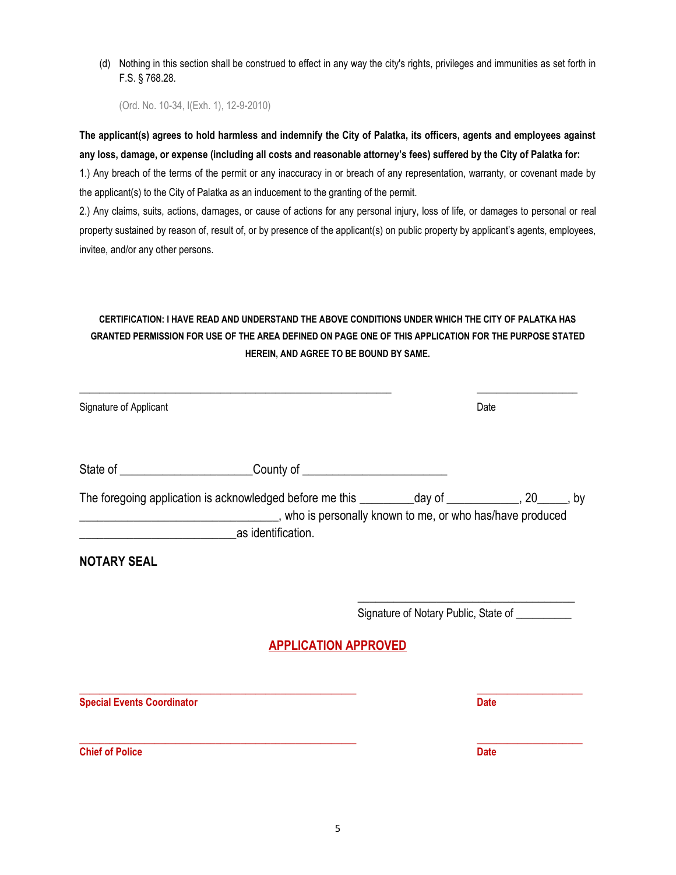(d) Nothing in this section shall be construed to effect in any way the city's rights, privileges and immunities as set forth in F.S. § 768.28.

(Ord. No. 10-34, I(Exh. 1), 12-9-2010)

**The applicant(s) agrees to hold harmless and indemnify the City of Palatka, its officers, agents and employees against any loss, damage, or expense (including all costs and reasonable attorney's fees) suffered by the City of Palatka for:**

1.) Any breach of the terms of the permit or any inaccuracy in or breach of any representation, warranty, or covenant made by the applicant(s) to the City of Palatka as an inducement to the granting of the permit.

2.) Any claims, suits, actions, damages, or cause of actions for any personal injury, loss of life, or damages to personal or real property sustained by reason of, result of, or by presence of the applicant(s) on public property by applicant's agents, employees, invitee, and/or any other persons.

## **CERTIFICATION: I HAVE READ AND UNDERSTAND THE ABOVE CONDITIONS UNDER WHICH THE CITY OF PALATKA HAS GRANTED PERMISSION FOR USE OF THE AREA DEFINED ON PAGE ONE OF THIS APPLICATION FOR THE PURPOSE STATED HEREIN, AND AGREE TO BE BOUND BY SAME.**

| Signature of Applicant            |                                                                                                                                                                                    | Date                                           |
|-----------------------------------|------------------------------------------------------------------------------------------------------------------------------------------------------------------------------------|------------------------------------------------|
|                                   | State of _______________________________County of ______________________________                                                                                                   |                                                |
|                                   | The foregoing application is acknowledged before me this _________day of ___________, 20_____, by<br>who is personally known to me, or who has/have produced<br>as identification. |                                                |
| <b>NOTARY SEAL</b>                |                                                                                                                                                                                    |                                                |
|                                   |                                                                                                                                                                                    | Signature of Notary Public, State of _________ |
|                                   | <b>APPLICATION APPROVED</b>                                                                                                                                                        |                                                |
| <b>Special Events Coordinator</b> |                                                                                                                                                                                    | <b>Date</b>                                    |
| <b>Chief of Police</b>            |                                                                                                                                                                                    | <b>Date</b>                                    |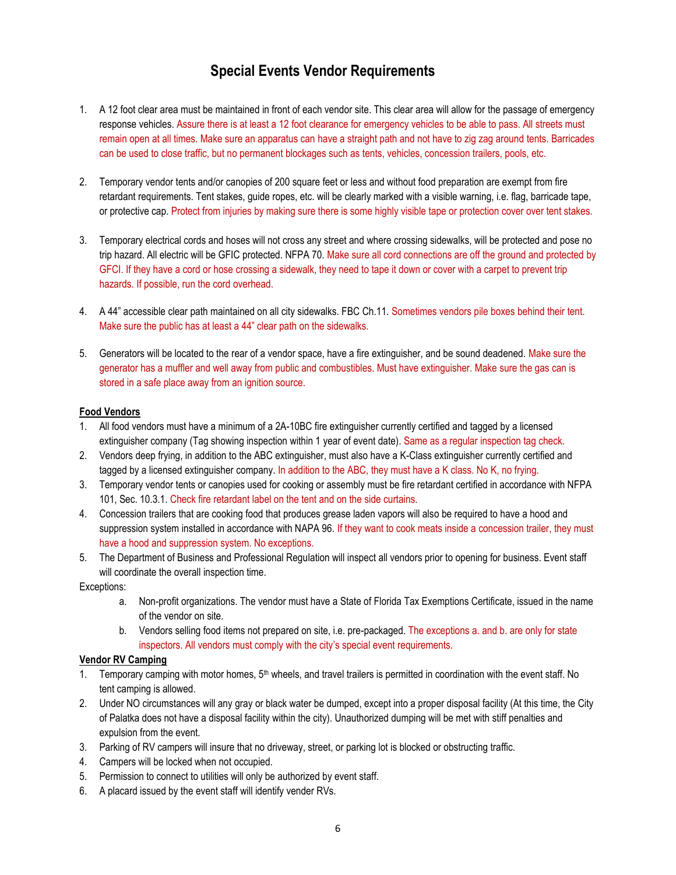## **Special Events Vendor Requirements**

- 1. A 12 foot clear area must be maintained in front of each vendor site. This clear area will allow for the passage of emergency response vehicles. Assure there is at least a 12 foot clearance for emergency vehicles to be able to pass. All streets must remain open at all times. Make sure an apparatus can have a straight path and not have to zig zag around tents. Barricades can be used to close traffic, but no permanent blockages such as tents, vehicles, concession trailers, pools, etc.
- 2. Temporary vendor tents and/or canopies of 200 square feet or less and without food preparation are exempt from fire retardant requirements. Tent stakes, guide ropes, etc. will be clearly marked with a visible warning, i.e. flag, barricade tape, or protective cap. Protect from injuries by making sure there is some highly visible tape or protection cover over tent stakes.
- 3. Temporary electrical cords and hoses will not cross any street and where crossing sidewalks, will be protected and pose no trip hazard. All electric will be GFIC protected. NFPA 70. Make sure all cord connections are off the ground and protected by GFCI. If they have a cord or hose crossing a sidewalk, they need to tape it down or cover with a carpet to prevent trip hazards. If possible, run the cord overhead.
- 4. A 44" accessible clear path maintained on all city sidewalks. FBC Ch.11. Sometimes vendors pile boxes behind their tent. Make sure the public has at least a 44" clear path on the sidewalks.
- 5. Generators will be located to the rear of a vendor space, have a fire extinguisher, and be sound deadened. Make sure the generator has a muffler and well away from public and combustibles. Must have extinguisher. Make sure the gas can is stored in a safe place away from an ignition source.

### **Food Vendors**

- 1. All food vendors must have a minimum of a 2A-10BC fire extinguisher currently certified and tagged by a licensed extinguisher company (Tag showing inspection within 1 year of event date). Same as a regular inspection tag check.
- 2. Vendors deep frying, in addition to the ABC extinguisher, must also have a K-Class extinguisher currently certified and tagged by a licensed extinguisher company. In addition to the ABC, they must have a K class. No K, no frying.
- 3. Temporary vendor tents or canopies used for cooking or assembly must be fire retardant certified in accordance with NFPA 101, Sec. 10.3.1. Check fire retardant label on the tent and on the side curtains.
- 4. Concession trailers that are cooking food that produces grease laden vapors will also be required to have a hood and suppression system installed in accordance with NAPA 96. If they want to cook meats inside a concession trailer, they must have a hood and suppression system. No exceptions.
- 5. The Department of Business and Professional Regulation will inspect all vendors prior to opening for business. Event staff will coordinate the overall inspection time.

Exceptions:

- a. Non-profit organizations. The vendor must have a State of Florida Tax Exemptions Certificate, issued in the name of the vendor on site.
- b. Vendors selling food items not prepared on site, i.e. pre-packaged. The exceptions a. and b. are only for state inspectors. All vendors must comply with the city's special event requirements.

### **Vendor RV Camping**

- 1. Temporary camping with motor homes,  $5<sup>th</sup>$  wheels, and travel trailers is permitted in coordination with the event staff. No tent camping is allowed.
- 2. Under NO circumstances will any gray or black water be dumped, except into a proper disposal facility (At this time, the City of Palatka does not have a disposal facility within the city). Unauthorized dumping will be met with stiff penalties and expulsion from the event.
- 3. Parking of RV campers will insure that no driveway, street, or parking lot is blocked or obstructing traffic.
- 4. Campers will be locked when not occupied.
- 5. Permission to connect to utilities will only be authorized by event staff.
- 6. A placard issued by the event staff will identify vender RVs.